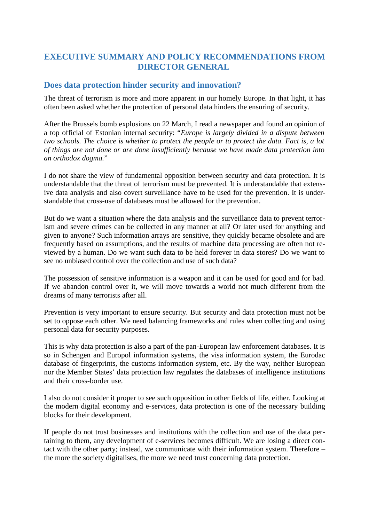# **EXECUTIVE SUMMARY AND POLICY RECOMMENDATIONS FROM DIRECTOR GENERAL**

### **Does data protection hinder security and innovation?**

The threat of terrorism is more and more apparent in our homely Europe. In that light, it has often been asked whether the protection of personal data hinders the ensuring of security.

After the Brussels bomb explosions on 22 March, I read a newspaper and found an opinion of a top official of Estonian internal security: "*Europe is largely divided in a dispute between two schools. The choice is whether to protect the people or to protect the data. Fact is, a lot of things are not done or are done insufficiently because we have made data protection into an orthodox dogma.*"

I do not share the view of fundamental opposition between security and data protection. It is understandable that the threat of terrorism must be prevented. It is understandable that extensive data analysis and also covert surveillance have to be used for the prevention. It is understandable that cross-use of databases must be allowed for the prevention.

But do we want a situation where the data analysis and the surveillance data to prevent terrorism and severe crimes can be collected in any manner at all? Or later used for anything and given to anyone? Such information arrays are sensitive, they quickly became obsolete and are frequently based on assumptions, and the results of machine data processing are often not reviewed by a human. Do we want such data to be held forever in data stores? Do we want to see no unbiased control over the collection and use of such data?

The possession of sensitive information is a weapon and it can be used for good and for bad. If we abandon control over it, we will move towards a world not much different from the dreams of many terrorists after all.

Prevention is very important to ensure security. But security and data protection must not be set to oppose each other. We need balancing frameworks and rules when collecting and using personal data for security purposes.

This is why data protection is also a part of the pan-European law enforcement databases. It is so in Schengen and Europol information systems, the visa information system, the Eurodac database of fingerprints, the customs information system, etc. By the way, neither European nor the Member States' data protection law regulates the databases of intelligence institutions and their cross-border use.

I also do not consider it proper to see such opposition in other fields of life, either. Looking at the modern digital economy and e-services, data protection is one of the necessary building blocks for their development.

If people do not trust businesses and institutions with the collection and use of the data pertaining to them, any development of e-services becomes difficult. We are losing a direct contact with the other party; instead, we communicate with their information system. Therefore – the more the society digitalises, the more we need trust concerning data protection.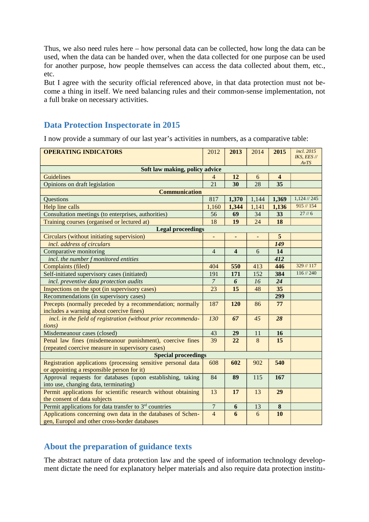Thus, we also need rules here – how personal data can be collected, how long the data can be used, when the data can be handed over, when the data collected for one purpose can be used for another purpose, how people themselves can access the data collected about them, etc., etc.

But I agree with the security official referenced above, in that data protection must not become a thing in itself. We need balancing rules and their common-sense implementation, not a full brake on necessary activities.

### **Data Protection Inspectorate in 2015**

I now provide a summary of our last year's activities in numbers, as a comparative table:

| <b>OPERATING INDICATORS</b>                                                                                  | 2012           | 2013                    | 2014                     | 2015     | incl. 2015<br>IKS, EES // |
|--------------------------------------------------------------------------------------------------------------|----------------|-------------------------|--------------------------|----------|---------------------------|
| AvTS<br>Soft law making, policy advice                                                                       |                |                         |                          |          |                           |
| Guidelines                                                                                                   | 4              | 12                      | 6                        | 4        |                           |
| Opinions on draft legislation                                                                                | 21             | 30                      | 28                       | 35       |                           |
| <b>Communication</b>                                                                                         |                |                         |                          |          |                           |
| Questions                                                                                                    | 817            | 1,370                   | 1,144                    | 1,369    | 1,124 // 245              |
| Help line calls                                                                                              | 1,160          | 1,344                   | 1,141                    | 1,136    | 915 // 154                |
| Consultation meetings (to enterprises, authorities)                                                          | 56             | 69                      | 34                       | 33       | $27 \frac{1}{6}$          |
| Training courses (organised or lectured at)                                                                  | 18             | 19                      | 24                       | 18       |                           |
| <b>Legal proceedings</b>                                                                                     |                |                         |                          |          |                           |
| Circulars (without initiating supervision)                                                                   | $\frac{1}{2}$  | ٠                       | $\overline{\phantom{a}}$ | 5        |                           |
| incl. address of circulars                                                                                   |                |                         |                          | 149      |                           |
| Comparative monitoring                                                                                       | $\overline{4}$ | $\overline{\mathbf{4}}$ | 6                        | 14       |                           |
| incl. the number f monitored entities                                                                        |                |                         |                          | 412      |                           |
| Complaints (filed)                                                                                           | 404            | 550                     | 413                      | 446      | 329 // 117                |
| Self-initiated supervisory cases (initiated)                                                                 | 191            | 171                     | 152                      | 384      | 116 // 240                |
| incl. preventive data protection audits                                                                      | $\overline{7}$ | $\boldsymbol{6}$        | 16                       | 24       |                           |
| Inspections on the spot (in supervisory cases)                                                               | 23             | 15                      | 48                       | 35       |                           |
| Recommendations (in supervisory cases)                                                                       |                |                         |                          | 299      |                           |
| Precepts (normally preceded by a recommendation; normally                                                    | 187            | 120                     | 86                       | 77       |                           |
| includes a warning about coercive fines)                                                                     |                |                         |                          |          |                           |
| incl. in the field of registration (without prior recommenda-                                                | 130            | 67                      | 45                       | 28       |                           |
| tions)                                                                                                       |                |                         |                          |          |                           |
| Misdemeanour cases (closed)                                                                                  | 43             | 29                      | 11                       | 16       |                           |
| Penal law fines (misdemeanour punishment), coercive fines                                                    | 39             | 22                      | 8                        | 15       |                           |
| (repeated coercive measure in supervisory cases)                                                             |                |                         |                          |          |                           |
| <b>Special proceedings</b>                                                                                   |                |                         |                          |          |                           |
| Registration applications (processing sensitive personal data                                                | 608            | 602                     | 902                      | 540      |                           |
| or appointing a responsible person for it)                                                                   |                |                         |                          |          |                           |
| Approval requests for databases (upon establishing, taking                                                   | 84             | 89                      | 115                      | 167      |                           |
| into use, changing data, terminating)                                                                        |                |                         |                          |          |                           |
| Permit applications for scientific research without obtaining                                                | 13             | 17                      | 13                       | 29       |                           |
| the consent of data subjects                                                                                 |                |                         |                          |          |                           |
| Permit applications for data transfer to 3 <sup>rd</sup> countries                                           | $\overline{7}$ | 6                       | 13                       | $\bf{8}$ |                           |
| Applications concerning own data in the databases of Schen-<br>gen, Europol and other cross-border databases | $\overline{4}$ | 6                       | 6                        | 10       |                           |

### **About the preparation of guidance texts**

The abstract nature of data protection law and the speed of information technology development dictate the need for explanatory helper materials and also require data protection institu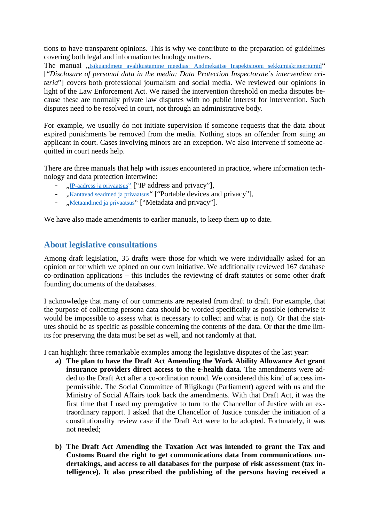tions to have transparent opinions. This is why we contribute to the preparation of guidelines covering both legal and information technology matters.

The manual ..Isikuandmete avalikustamine meedias: Andmekaitse Inspektsiooni sekkumiskriteeriumid" ["*Disclosure of personal data in the media: Data Protection Inspectorate's intervention criteria*"] covers both professional journalism and social media. We reviewed our opinions in light of the Law Enforcement Act. We raised the intervention threshold on media disputes because these are normally private law disputes with no public interest for intervention. Such disputes need to be resolved in court, not through an administrative body.

For example, we usually do not initiate supervision if someone requests that the data about expired punishments be removed from the media. Nothing stops an offender from suing an applicant in court. Cases involving minors are an exception. We also intervene if someone acquitted in court needs help.

There are three manuals that help with issues encountered in practice, where information technology and data protection intertwine:

- "IP-aadress ja privaatsus" ["IP address and privacy"],
- ...Kantavad seadmed ja privaatsus" ["Portable devices and privacy"],
- "Metaandmed ja privaatsus" ["Metadata and privacy"].

We have also made amendments to earlier manuals, to keep them up to date.

# **About legislative consultations**

Among draft legislation, 35 drafts were those for which we were individually asked for an opinion or for which we opined on our own initiative. We additionally reviewed 167 database co-ordination applications – this includes the reviewing of draft statutes or some other draft founding documents of the databases.

I acknowledge that many of our comments are repeated from draft to draft. For example, that the purpose of collecting persona data should be worded specifically as possible (otherwise it would be impossible to assess what is necessary to collect and what is not). Or that the statutes should be as specific as possible concerning the contents of the data. Or that the time limits for preserving the data must be set as well, and not randomly at that.

I can highlight three remarkable examples among the legislative disputes of the last year:

- **a) The plan to have the Draft Act Amending the Work Ability Allowance Act grant insurance providers direct access to the e-health data.** The amendments were added to the Draft Act after a co-ordination round. We considered this kind of access impermissible. The Social Committee of Riigikogu (Parliament) agreed with us and the Ministry of Social Affairs took back the amendments. With that Draft Act, it was the first time that I used my prerogative to turn to the Chancellor of Justice with an extraordinary rapport. I asked that the Chancellor of Justice consider the initiation of a constitutionality review case if the Draft Act were to be adopted. Fortunately, it was not needed;
- **b) The Draft Act Amending the Taxation Act was intended to grant the Tax and Customs Board the right to get communications data from communications undertakings, and access to all databases for the purpose of risk assessment (tax intelligence). It also prescribed the publishing of the persons having received a**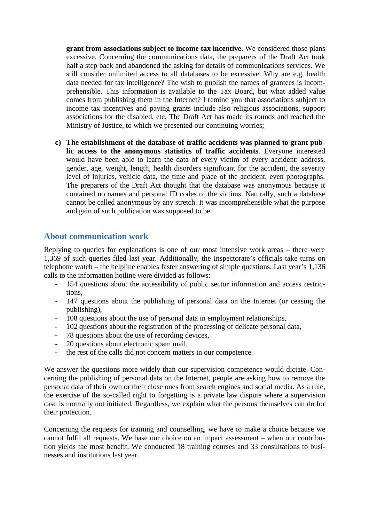**grant from associations subject to income tax incentive**. We considered those plans excessive. Concerning the communications data, the preparers of the Draft Act took half a step back and abandoned the asking for details of communications services. We still consider unlimited access to all databases to be excessive. Why are e.g. health data needed for tax intelligence? The wish to publish the names of grantees is incomprehensible. This information is available to the Tax Board, but what added value comes from publishing them in the Internet? I remind you that associations subject to income tax incentives and paying grants include also religious associations, support associations for the disabled, etc. The Draft Act has made its rounds and reached the Ministry of Justice, to which we presented our continuing worries;

**c) The establishment of the database of traffic accidents was planned to grant public access to the anonymous statistics of traffic accidents**. Everyone interested would have been able to learn the data of every victim of every accident: address, gender, age, weight, length, health disorders significant for the accident, the severity level of injuries, vehicle data, the time and place of the accident, even photographs. The preparers of the Draft Act thought that the database was anonymous because it contained no names and personal ID codes of the victims. Naturally, such a database cannot be called anonymous by any stretch. It was incomprehensible what the purpose and gain of such publication was supposed to be.

### **About communication work**

Replying to queries for explanations is one of our most intensive work areas – there were 1,369 of such queries filed last year. Additionally, the Inspectorate's officials take turns on telephone watch – the helpline enables faster answering of simple questions. Last year's 1,136 calls to the information hotline were divided as follows:

- 154 questions about the accessibility of public sector information and access restrictions,
- 147 questions about the publishing of personal data on the Internet (or ceasing the publishing),
- 108 questions about the use of personal data in employment relationships,
- 102 questions about the registration of the processing of delicate personal data,
- 78 questions about the use of recording devices,
- 20 questions about electronic spam mail,
- the rest of the calls did not concern matters in our competence.

We answer the questions more widely than our supervision competence would dictate. Concerning the publishing of personal data on the Internet, people are asking how to remove the personal data of their own or their close ones from search engines and social media. As a rule, the exercise of the so-called right to forgetting is a private law dispute where a supervision case is normally not initiated. Regardless, we explain what the persons themselves can do for their protection.

Concerning the requests for training and counselling, we have to make a choice because we cannot fulfil all requests. We base our choice on an impact assessment – when our contribution yields the most benefit. We conducted 18 training courses and 33 consultations to businesses and institutions last year.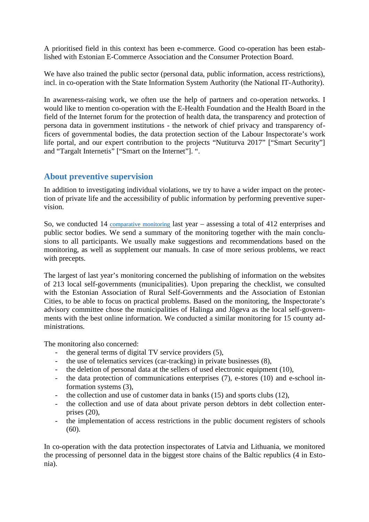A prioritised field in this context has been e-commerce. Good co-operation has been established with Estonian E-Commerce Association and the Consumer Protection Board.

We have also trained the public sector (personal data, public information, access restrictions), incl. in co-operation with the State Information System Authority (the National IT-Authority).

In awareness-raising work, we often use the help of partners and co-operation networks. I would like to mention co-operation with the E-Health Foundation and the Health Board in the field of the Internet forum for the protection of health data, the transparency and protection of persona data in government institutions - the network of chief privacy and transparency officers of governmental bodies, the data protection section of the Labour Inspectorate's work life portal, and our expert contribution to the projects "Nutiturva 2017" ["Smart Security"] and "Targalt Internetis" ["Smart on the Internet"]. ".

## **About preventive supervision**

In addition to investigating individual violations, we try to have a wider impact on the protection of private life and the accessibility of public information by performing preventive supervision.

So, we conducted 14 comparative monitoring last year – assessing a total of 412 enterprises and public sector bodies. We send a summary of the monitoring together with the main conclusions to all participants. We usually make suggestions and recommendations based on the monitoring, as well as supplement our manuals. In case of more serious problems, we react with precepts.

The largest of last year's monitoring concerned the publishing of information on the websites of 213 local self-governments (municipalities). Upon preparing the checklist, we consulted with the Estonian Association of Rural Self-Governments and the Association of Estonian Cities, to be able to focus on practical problems. Based on the monitoring, the Inspectorate's advisory committee chose the municipalities of Halinga and Jõgeva as the local self-governments with the best online information. We conducted a similar monitoring for 15 county administrations.

The monitoring also concerned:

- the general terms of digital TV service providers (5),
- the use of telematics services (car-tracking) in private businesses (8),
- the deletion of personal data at the sellers of used electronic equipment (10),
- the data protection of communications enterprises (7), e-stores (10) and e-school information systems (3),
- the collection and use of customer data in banks (15) and sports clubs (12),
- the collection and use of data about private person debtors in debt collection enterprises (20),
- the implementation of access restrictions in the public document registers of schools (60).

In co-operation with the data protection inspectorates of Latvia and Lithuania, we monitored the processing of personnel data in the biggest store chains of the Baltic republics (4 in Estonia).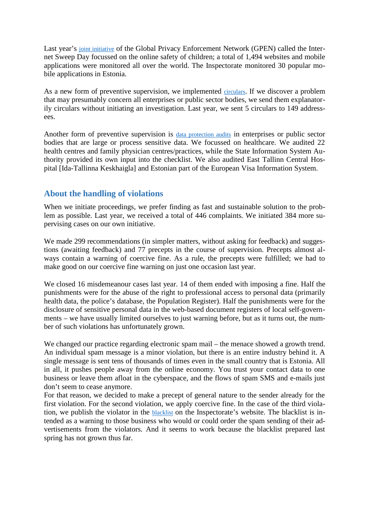Last year's joint initiative of the Global Privacy Enforcement Network (GPEN) called the Internet Sweep Day focussed on the online safety of children; a total of 1,494 websites and mobile applications were monitored all over the world. The Inspectorate monitored 30 popular mobile applications in Estonia.

As a new form of preventive supervision, we implemented circulars. If we discover a problem that may presumably concern all enterprises or public sector bodies, we send them explanatorily circulars without initiating an investigation. Last year, we sent 5 circulars to 149 addressees.

Another form of preventive supervision is data protection audits in enterprises or public sector bodies that are large or process sensitive data. We focussed on healthcare. We audited 22 health centres and family physician centres/practices, while the State Information System Authority provided its own input into the checklist. We also audited East Tallinn Central Hospital [Ida-Tallinna Keskhaigla] and Estonian part of the European Visa Information System.

# **About the handling of violations**

When we initiate proceedings, we prefer finding as fast and sustainable solution to the problem as possible. Last year, we received a total of 446 complaints. We initiated 384 more supervising cases on our own initiative.

We made 299 recommendations (in simpler matters, without asking for feedback) and suggestions (awaiting feedback) and 77 precepts in the course of supervision. Precepts almost always contain a warning of coercive fine. As a rule, the precepts were fulfilled; we had to make good on our coercive fine warning on just one occasion last year.

We closed 16 misdemeanour cases last year. 14 of them ended with imposing a fine. Half the punishments were for the abuse of the right to professional access to personal data (primarily health data, the police's database, the Population Register). Half the punishments were for the disclosure of sensitive personal data in the web-based document registers of local self-governments – we have usually limited ourselves to just warning before, but as it turns out, the number of such violations has unfortunately grown.

We changed our practice regarding electronic spam mail – the menace showed a growth trend. An individual spam message is a minor violation, but there is an entire industry behind it. A single message is sent tens of thousands of times even in the small country that is Estonia. All in all, it pushes people away from the online economy. You trust your contact data to one business or leave them afloat in the cyberspace, and the flows of spam SMS and e-mails just don't seem to cease anymore.

For that reason, we decided to make a precept of general nature to the sender already for the first violation. For the second violation, we apply coercive fine. In the case of the third violation, we publish the violator in the blacklist on the Inspectorate's website. The blacklist is intended as a warning to those business who would or could order the spam sending of their advertisements from the violators. And it seems to work because the blacklist prepared last spring has not grown thus far.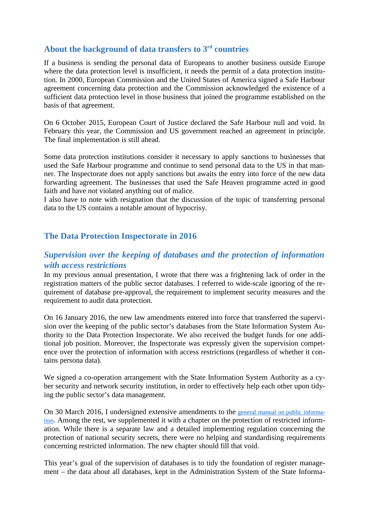# **About the background of data transfers to 3rd countries**

If a business is sending the personal data of Europeans to another business outside Europe where the data protection level is insufficient, it needs the permit of a data protection institution. In 2000, European Commission and the United States of America signed a Safe Harbour agreement concerning data protection and the Commission acknowledged the existence of a sufficient data protection level in those business that joined the programme established on the basis of that agreement.

On 6 October 2015, European Court of Justice declared the Safe Harbour null and void. In February this year, the Commission and US government reached an agreement in principle. The final implementation is still ahead.

Some data protection institutions consider it necessary to apply sanctions to businesses that used the Safe Harbour programme and continue to send personal data to the US in that manner. The Inspectorate does not apply sanctions but awaits the entry into force of the new data forwarding agreement. The businesses that used the Safe Heaven programme acted in good faith and have not violated anything out of malice.

I also have to note with resignation that the discussion of the topic of transferring personal data to the US contains a notable amount of hypocrisy.

# **The Data Protection Inspectorate in 2016**

# *Supervision over the keeping of databases and the protection of information with access restrictions*

In my previous annual presentation, I wrote that there was a frightening lack of order in the registration matters of the public sector databases. I referred to wide-scale ignoring of the requirement of database pre-approval, the requirement to implement security measures and the requirement to audit data protection.

On 16 January 2016, the new law amendments entered into force that transferred the supervision over the keeping of the public sector's databases from the State Information System Authority to the Data Protection Inspectorate. We also received the budget funds for one additional job position. Moreover, the Inspectorate was expressly given the supervision competence over the protection of information with access restrictions (regardless of whether it contains persona data).

We signed a co-operation arrangement with the State Information System Authority as a cyber security and network security institution, in order to effectively help each other upon tidying the public sector's data management.

On 30 March 2016, I undersigned extensive amendments to the general manual on public information. Among the rest, we supplemented it with a chapter on the protection of restricted information. While there is a separate law and a detailed implementing regulation concerning the protection of national security secrets, there were no helping and standardising requirements concerning restricted information. The new chapter should fill that void.

This year's goal of the supervision of databases is to tidy the foundation of register management – the data about all databases, kept in the Administration System of the State Informa-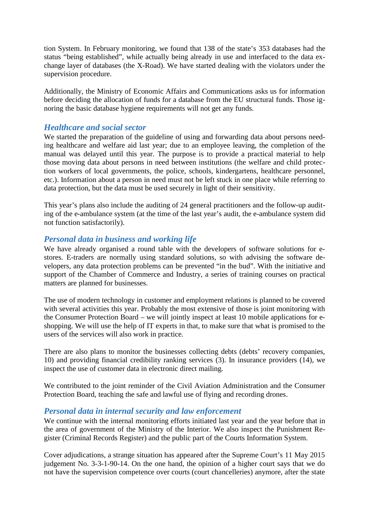tion System. In February monitoring, we found that 138 of the state's 353 databases had the status "being established", while actually being already in use and interfaced to the data exchange layer of databases (the X-Road). We have started dealing with the violators under the supervision procedure.

Additionally, the Ministry of Economic Affairs and Communications asks us for information before deciding the allocation of funds for a database from the EU structural funds. Those ignoring the basic database hygiene requirements will not get any funds.

## *Healthcare and social sector*

We started the preparation of the guideline of using and forwarding data about persons needing healthcare and welfare aid last year; due to an employee leaving, the completion of the manual was delayed until this year. The purpose is to provide a practical material to help those moving data about persons in need between institutions (the welfare and child protection workers of local governments, the police, schools, kindergartens, healthcare personnel, etc.). Information about a person in need must not be left stuck in one place while referring to data protection, but the data must be used securely in light of their sensitivity.

This year's plans also include the auditing of 24 general practitioners and the follow-up auditing of the e-ambulance system (at the time of the last year's audit, the e-ambulance system did not function satisfactorily).

## *Personal data in business and working life*

We have already organised a round table with the developers of software solutions for estores. E-traders are normally using standard solutions, so with advising the software developers, any data protection problems can be prevented "in the bud". With the initiative and support of the Chamber of Commerce and Industry, a series of training courses on practical matters are planned for businesses.

The use of modern technology in customer and employment relations is planned to be covered with several activities this year. Probably the most extensive of those is joint monitoring with the Consumer Protection Board – we will jointly inspect at least 10 mobile applications for eshopping. We will use the help of IT experts in that, to make sure that what is promised to the users of the services will also work in practice.

There are also plans to monitor the businesses collecting debts (debts' recovery companies, 10) and providing financial credibility ranking services (3). In insurance providers (14), we inspect the use of customer data in electronic direct mailing.

We contributed to the joint reminder of the Civil Aviation Administration and the Consumer Protection Board, teaching the safe and lawful use of flying and recording drones.

### *Personal data in internal security and law enforcement*

We continue with the internal monitoring efforts initiated last year and the year before that in the area of government of the Ministry of the Interior. We also inspect the Punishment Register (Criminal Records Register) and the public part of the Courts Information System.

Cover adjudications, a strange situation has appeared after the Supreme Court's 11 May 2015 judgement No. 3-3-1-90-14. On the one hand, the opinion of a higher court says that we do not have the supervision competence over courts (court chancelleries) anymore, after the state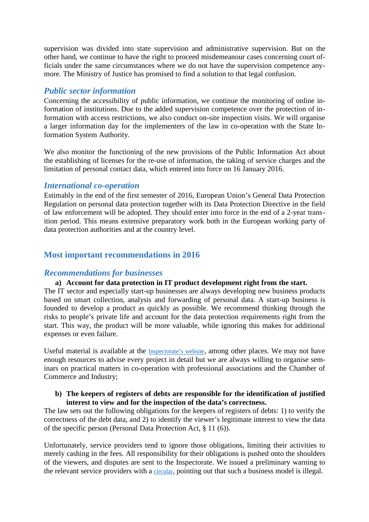supervision was divided into state supervision and administrative supervision. But on the other hand, we continue to have the right to proceed misdemeanour cases concerning court officials under the same circumstances where we do not have the supervision competence anymore. The Ministry of Justice has promised to find a solution to that legal confusion.

### *Public sector information*

Concerning the accessibility of public information, we continue the monitoring of online information of institutions. Due to the added supervision competence over the protection of information with access restrictions, we also conduct on-site inspection visits. We will organise a larger information day for the implementers of the law in co-operation with the State Information System Authority.

We also monitor the functioning of the new provisions of the Public Information Act about the establishing of licenses for the re-use of information, the taking of service charges and the limitation of personal contact data, which entered into force on 16 January 2016.

### *International co-operation*

Estimably in the end of the first semester of 2016, European Union's General Data Protection Regulation on personal data protection together with its Data Protection Directive in the field of law enforcement will be adopted. They should enter into force in the end of a 2-year transition period. This means extensive preparatory work both in the European working party of data protection authorities and at the country level.

## **Most important recommendations in 2016**

### *Recommendations for businesses*

### **a) Account for data protection in IT product development right from the start.**

The IT sector and especially start-up businesses are always developing new business products based on smart collection, analysis and forwarding of personal data. A start-up business is founded to develop a product as quickly as possible. We recommend thinking through the risks to people's private life and account for the data protection requirements right from the start. This way, the product will be more valuable, while ignoring this makes for additional expenses or even failure.

Useful material is available at the Inspectorate's website, among other places. We may not have enough resources to advise every project in detail but we are always willing to organise seminars on practical matters in co-operation with professional associations and the Chamber of Commerce and Industry;

#### **b) The keepers of registers of debts are responsible for the identification of justified interest to view and for the inspection of the data's correctness.**

The law sets out the following obligations for the keepers of registers of debts: 1) to verify the correctness of the debt data, and 2) to identify the viewer's legitimate interest to view the data of the specific person (Personal Data Protection Act, § 11 (6)).

Unfortunately, service providers tend to ignore those obligations, limiting their activities to merely cashing in the fees. All responsibility for their obligations is pushed onto the shoulders of the viewers, and disputes are sent to the Inspectorate. We issued a preliminary warning to the relevant service providers with a circular, pointing out that such a business model is illegal.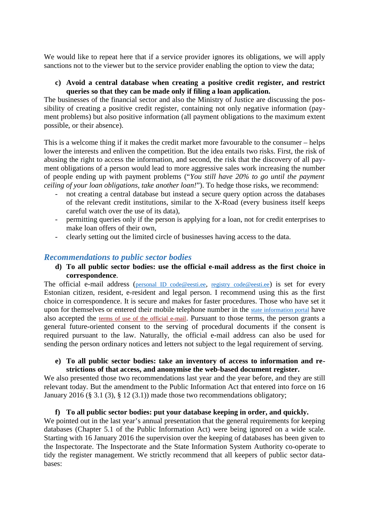We would like to repeat here that if a service provider ignores its obligations, we will apply sanctions not to the viewer but to the service provider enabling the option to view the data;

#### **c) Avoid a central database when creating a positive credit register, and restrict queries so that they can be made only if filing a loan application.**

The businesses of the financial sector and also the Ministry of Justice are discussing the possibility of creating a positive credit register, containing not only negative information (payment problems) but also positive information (all payment obligations to the maximum extent possible, or their absence).

This is a welcome thing if it makes the credit market more favourable to the consumer – helps lower the interests and enliven the competition. But the idea entails two risks. First, the risk of abusing the right to access the information, and second, the risk that the discovery of all payment obligations of a person would lead to more aggressive sales work increasing the number of people ending up with payment problems ("*You still have 20% to go until the payment ceiling of your loan obligations, take another loan!*"). To hedge those risks, we recommend:

- not creating a central database but instead a secure query option across the databases of the relevant credit institutions, similar to the X-Road (every business itself keeps careful watch over the use of its data),
- permitting queries only if the person is applying for a loan, not for credit enterprises to make loan offers of their own,
- clearly setting out the limited circle of businesses having access to the data.

## *Recommendations to public sector bodies*

### **d) To all public sector bodies: use the official e-mail address as the first choice in correspondence**.

The official e-mail address (personal ID code@eesti.ee, registry code@eesti.ee) is set for every Estonian citizen, resident, e-resident and legal person. I recommend using this as the first choice in correspondence. It is secure and makes for faster procedures. Those who have set it upon for themselves or entered their mobile telephone number in the state information portal have also accepted the terms of use of the official e-mail. Pursuant to those terms, the person grants a general future-oriented consent to the serving of procedural documents if the consent is required pursuant to the law. Naturally, the official e-mail address can also be used for sending the person ordinary notices and letters not subject to the legal requirement of serving.

#### **e) To all public sector bodies: take an inventory of access to information and restrictions of that access, and anonymise the web-based document register.**

We also presented those two recommendations last year and the year before, and they are still relevant today. But the amendment to the Public Information Act that entered into force on 16 January 2016 (§ 3.1 (3), § 12 (3.1)) made those two recommendations obligatory;

### **f) To all public sector bodies: put your database keeping in order, and quickly.**

We pointed out in the last year's annual presentation that the general requirements for keeping databases (Chapter 5.1 of the Public Information Act) were being ignored on a wide scale. Starting with 16 January 2016 the supervision over the keeping of databases has been given to the Inspectorate. The Inspectorate and the State Information System Authority co-operate to tidy the register management. We strictly recommend that all keepers of public sector databases: